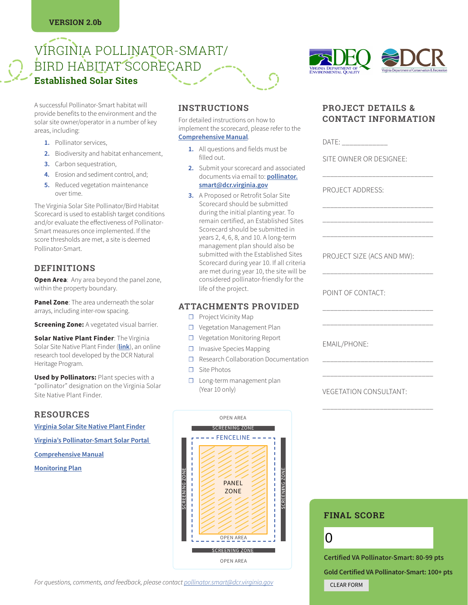# VIRGINIA POLLINATOR-SMART/ BIRD HABITAT SCORECARD **Established Solar Sites**

A successful Pollinator-Smart habitat will provide benefits to the environment and the solar site owner/operator in a number of key areas, including:

- **1.** Pollinator services,
- **2.** Biodiversity and habitat enhancement,
- **3.** Carbon sequestration,
- **4.** Erosion and sediment control, and;
- **5.** Reduced vegetation maintenance over time.

The Virginia Solar Site Pollinator/Bird Habitat Scorecard is used to establish target conditions and/or evaluate the effectiveness of Pollinator-Smart measures once implemented. If the score thresholds are met, a site is deemed Pollinator-Smart.

#### **DEFINITIONS**

**Open Area:** Any area beyond the panel zone, within the property boundary.

**Panel Zone**: The area underneath the solar arrays, including inter-row spacing.

**Screening Zone:** A vegetated visual barrier.

**Solar Native Plant Finder**: The Virginia Solar Site Native Plant Finder (**[link](https://www.dcr.virginia.gov/natural-heritage/solar-site-native-plants-finder)**), an online research tool developed by the DCR Natural Heritage Program.

**Used by Pollinators:** Plant species with a "pollinator" designation on the Virginia Solar Site Native Plant Finder.

#### **RESOURCES**

**[Virginia Solar Site Native Plant Finder](https://www.dcr.virginia.gov/natural-heritage/solar-site-native-plants-finder)**

**[Virginia's Pollinator-Smart Solar Portal](https://www.dcr.virginia.gov/natural-heritage/pollinator-smart)** 

**[Comprehensive Manual](https://www.dcr.virginia.gov/natural-heritage/pollinator-smart)**

**Monitoring Plan**

# **INSTRUCTIONS**

For detailed instructions on how to implement the scorecard, please refer to the **[Comprehensive Manual](https://www.dcr.virginia.gov/natural-heritage/pollinator-smart)**.

- **1.** All questions and fields must be filled out.
- **2.** Submit your scorecard and associated documents via email to: **[pollinator.](mailto:pollinator.smart@dcr.virginia.gov) [smart@dcr.virginia.gov](mailto:pollinator.smart@dcr.virginia.gov)**
- **3.** A Proposed or Retrofit Solar Site Scorecard should be submitted during the initial planting year. To remain certified, an Established Sites Scorecard should be submitted in years 2, 4, 6, 8, and 10. A long-term management plan should also be submitted with the Established Sites Scorecard during year 10. If all criteria are met during year 10, the site will be considered pollinator-friendly for the life of the project.

#### **ATTACHMENTS PROVIDED**

- ☐ Project Vicinity Map
- ☐ Vegetation Management Plan
- ☐ Vegetation Monitoring Report
- ☐ Invasive Species Mapping
- ☐ Research Collaboration Documentation
- ☐ Site Photos
- □ Long-term management plan (Year 10 only)



# **PROJECT DETAILS & CONTACT INFORMATION**

\_\_\_\_\_\_\_\_\_\_\_\_\_\_\_\_\_\_\_\_\_\_\_\_\_\_\_\_\_

\_\_\_\_\_\_\_\_\_\_\_\_\_\_\_\_\_\_\_\_\_\_\_\_\_\_\_\_\_ \_\_\_\_\_\_\_\_\_\_\_\_\_\_\_\_\_\_\_\_\_\_\_\_\_\_\_\_\_ \_\_\_\_\_\_\_\_\_\_\_\_\_\_\_\_\_\_\_\_\_\_\_\_\_\_\_\_\_

DATE:

SITE OWNER OR DESIGNEE:

PROJECT ADDRESS:

PROJECT SIZE (ACS AND MW):

\_\_\_\_\_\_\_\_\_\_\_\_\_\_\_\_\_\_\_\_\_\_\_\_\_\_\_\_\_

\_\_\_\_\_\_\_\_\_\_\_\_\_\_\_\_\_\_\_\_\_\_\_\_\_\_\_\_\_ \_\_\_\_\_\_\_\_\_\_\_\_\_\_\_\_\_\_\_\_\_\_\_\_\_\_\_\_\_

\_\_\_\_\_\_\_\_\_\_\_\_\_\_\_\_\_\_\_\_\_\_\_\_\_\_\_\_\_ \_\_\_\_\_\_\_\_\_\_\_\_\_\_\_\_\_\_\_\_\_\_\_\_\_\_\_\_\_

\_\_\_\_\_\_\_\_\_\_\_\_\_\_\_\_\_\_\_\_\_\_\_\_\_\_\_\_\_

POINT OF CONTACT:

EMAIL/PHONE:

VEGETATION CONSULTANT:



# **FINAL SCORE**

 $\Omega$ 

**Certified VA Pollinator-Smart: 80-99 pts Gold Certified VA Pollinator-Smart: 100+ pts** CLEAR FORM

*For questions, comments, and feedback, please contact [pollinator.smart@dcr.virginia.gov](mailto:pollinator.smart@dcr.virginia.gov)*